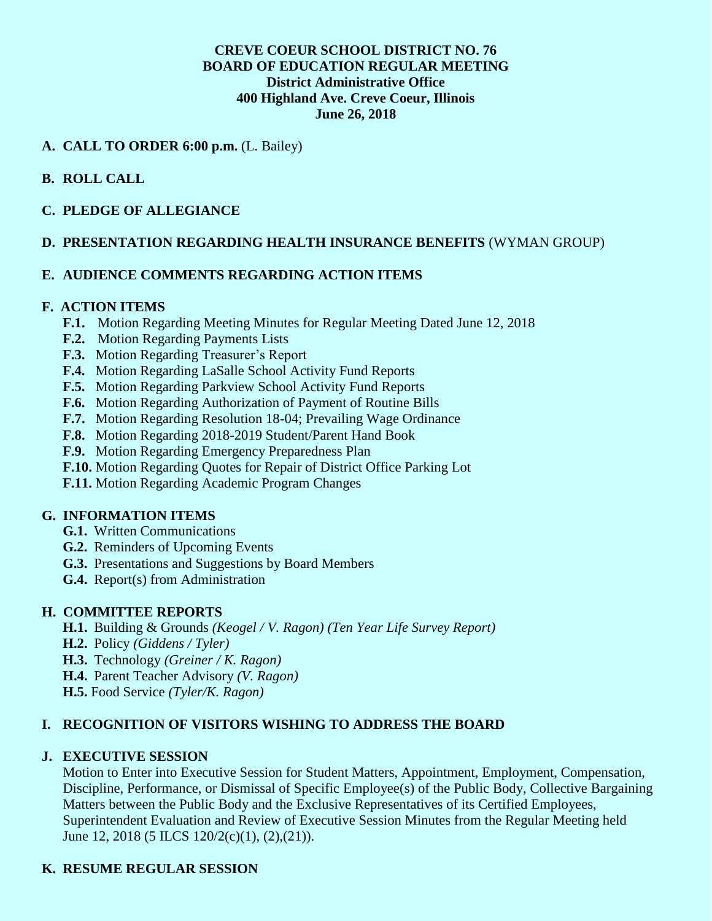## **CREVE COEUR SCHOOL DISTRICT NO. 76 BOARD OF EDUCATION REGULAR MEETING District Administrative Office 400 Highland Ave. Creve Coeur, Illinois June 26, 2018**

## **A. CALL TO ORDER 6:00 p.m.** (L. Bailey)

# **B. ROLL CALL**

### **C. PLEDGE OF ALLEGIANCE**

### **D. PRESENTATION REGARDING HEALTH INSURANCE BENEFITS** (WYMAN GROUP)

### **E. AUDIENCE COMMENTS REGARDING ACTION ITEMS**

#### **F. ACTION ITEMS**

- **F.1.** Motion Regarding Meeting Minutes for Regular Meeting Dated June 12, 2018
- **F.2.** Motion Regarding Payments Lists
- **F.3.** Motion Regarding Treasurer's Report
- **F.4.** Motion Regarding LaSalle School Activity Fund Reports
- **F.5.** Motion Regarding Parkview School Activity Fund Reports
- **F.6.** Motion Regarding Authorization of Payment of Routine Bills
- **F.7.** Motion Regarding Resolution 18-04; Prevailing Wage Ordinance
- **F.8.** Motion Regarding 2018-2019 Student/Parent Hand Book
- **F.9.** Motion Regarding Emergency Preparedness Plan
- **F.10.** Motion Regarding Quotes for Repair of District Office Parking Lot
- **F.11.** Motion Regarding Academic Program Changes

#### **G. INFORMATION ITEMS**

- **G.1.** Written Communications
- **G.2.** Reminders of Upcoming Events
- **G.3.** Presentations and Suggestions by Board Members
- **G.4.** Report(s) from Administration

#### **H. COMMITTEE REPORTS**

- **H.1.** Building & Grounds *(Keogel / V. Ragon) (Ten Year Life Survey Report)*
- **H.2.** Policy *(Giddens / Tyler)*
- **H.3.** Technology *(Greiner / K. Ragon)*
- **H.4.** Parent Teacher Advisory *(V. Ragon)*
- **H.5.** Food Service *(Tyler/K. Ragon)*

# **I. RECOGNITION OF VISITORS WISHING TO ADDRESS THE BOARD**

#### **J. EXECUTIVE SESSION**

Motion to Enter into Executive Session for Student Matters, Appointment, Employment, Compensation, Discipline, Performance, or Dismissal of Specific Employee(s) of the Public Body, Collective Bargaining Matters between the Public Body and the Exclusive Representatives of its Certified Employees, Superintendent Evaluation and Review of Executive Session Minutes from the Regular Meeting held June 12, 2018 (5 ILCS 120/2(c)(1), (2),(21)).

# **K. RESUME REGULAR SESSION**